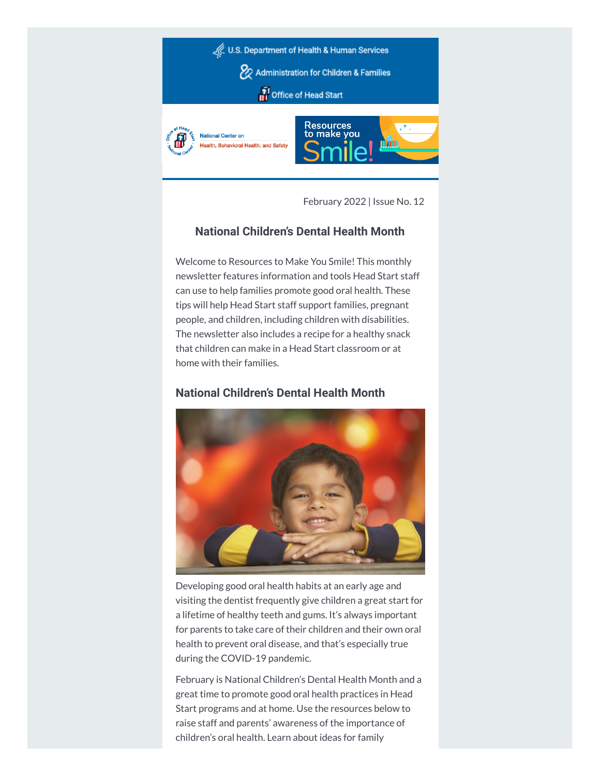

February 2022 | Issue No. 12

# **National Children's Dental Health Month**

Welcome to Resources to Make You Smile! This monthly newsletter features information and tools Head Start staff can use to help families promote good oral health. These tips will help Head Start staff support families, pregnant people, and children, including children with disabilities. The newsletter also includes a recipe for a healthy snack that children can make in a Head Start classroom or at home with their families.

# **National Children's Dental Health Month**



Developing good oral health habits at an early age and visiting the dentist frequently give children a great start for a lifetime of healthy teeth and gums. It's always important for parents to take care of their children and their own oral health to prevent oral disease, and that's especially true during the COVID-19 pandemic.

February is National Children's Dental Health Month and a great time to promote good oral health practices in Head Start programs and at home. Use the resources below to raise staff and parents' awareness of the importance of children's oral health. Learn about ideas for family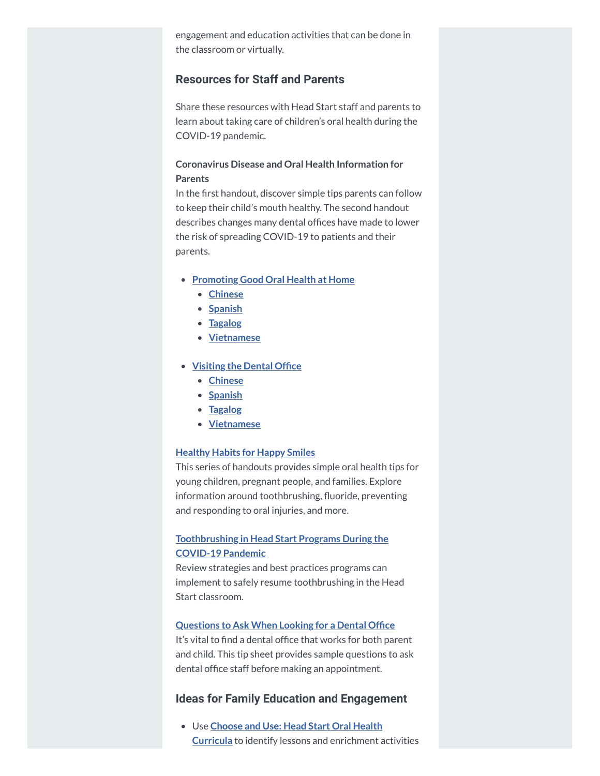engagement and education activities that can be done in the classroom or virtually.

## **Resources for Staff and Parents**

Share these resources with Head Start staff and parents to learn about taking care of children's oral health during the COVID-19 pandemic.

## **Coronavirus Disease and Oral Health Information for Parents**

In the first handout, discover simple tips parents can follow to keep their child's mouth healthy. The second handout describes changes many dental offices have made to lower the risk of spreading COVID-19 to patients and their parents.

- **[Promoting](https://hendall.createsend1.com/t/j-l-ztddduy-l-i/) Good Oral Health at Home**
	- **[Chinese](https://hendall.createsend1.com/t/j-l-ztddduy-l-d/)**
	- **•** [Spanish](https://hendall.createsend1.com/t/j-l-ztddduy-l-h/)
	- **[Tagalog](https://hendall.createsend1.com/t/j-l-ztddduy-l-k/)**
	- **[Vietnamese](https://hendall.createsend1.com/t/j-l-ztddduy-l-u/)**
- **[Visiting](https://hendall.createsend1.com/t/j-l-ztddduy-l-o/) the Dental Office**
	- **[Chinese](https://hendall.createsend1.com/t/j-l-ztddduy-l-b/)**
	- **•** [Spanish](https://hendall.createsend1.com/t/j-l-ztddduy-l-n/)
	- **[Tagalog](https://hendall.createsend1.com/t/j-l-ztddduy-l-p/)**
	- **[Vietnamese](https://hendall.createsend1.com/t/j-l-ztddduy-l-x/)**

### **[Healthy](https://hendall.createsend1.com/t/j-l-ztddduy-l-m/) Habits for Happy Smiles**

This series of handouts provides simple oral health tips for young children, pregnant people, and families. Explore information around toothbrushing, fluoride, preventing and responding to oral injuries, and more.

## **[Toothbrushing](https://hendall.createsend1.com/t/j-l-ztddduy-l-c/) in Head Start Programs During the COVID-19 Pandemic**

Review strategies and best practices programs can implement to safely resume toothbrushing in the Head Start classroom.

#### **[Questions](https://hendall.createsend1.com/t/j-l-ztddduy-l-v/) to Ask When Looking for a Dental Office**

It's vital to find a dental office that works for both parent and child. This tip sheet provides sample questions to ask dental office staff before making an appointment.

## **Ideas for Family Education and Engagement**

Use **Choose and Use: Head Start Oral Health Curricula** to identify lessons and [enrichment a](https://hendall.createsend1.com/t/j-l-ztddduy-l-e/)ctivities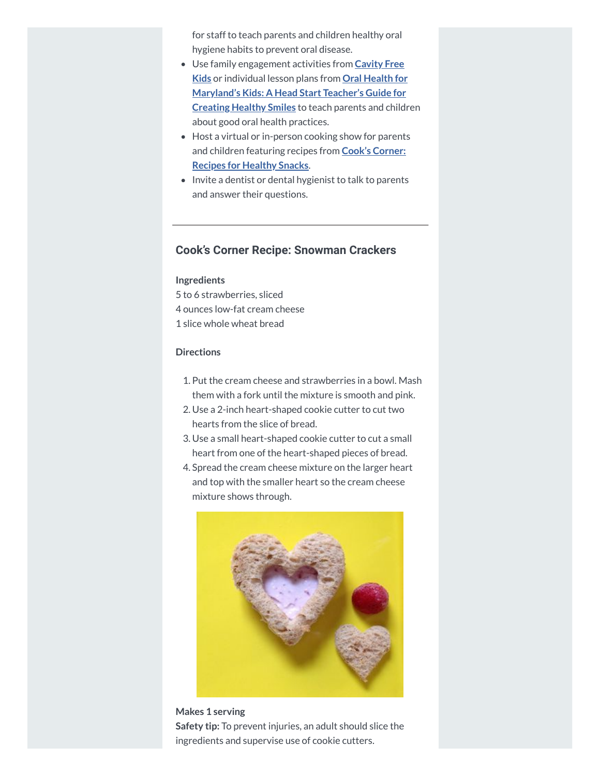for staff to teach parents and children healthy oral hygiene habits to prevent oral disease.

- Use family [engagement activities](https://hendall.createsend1.com/t/j-l-ztddduy-l-s/) from **Cavity Free Kids** or individual lesson plans from **Oral Health for [Maryland's](https://hendall.createsend1.com/t/j-l-ztddduy-l-g/) Kids: A Head Start Teacher's Guide for Creating Healthy Smiles** to teach parents and children about good oral health practices.
- Host a virtual or in-person cooking show for parents and children [featuring](https://hendall.createsend1.com/t/j-l-ztddduy-l-w/) recipes from **Cook's Corner: Recipes for Healthy Snacks**.
- Invite a dentist or dental hygienist to talk to parents and answer their questions.

# **Cook's Corner Recipe: Snowman Crackers**

### **Ingredients**

5 to 6 strawberries, sliced 4 ounces low-fat cream cheese 1 slice whole wheat bread

### **Directions**

- 1. Put the cream cheese and strawberries in a bowl. Mash them with a fork until the mixture is smooth and pink.
- 2. Use a 2-inch heart-shaped cookie cutter to cut two hearts from the slice of bread.
- 3. Use a small heart-shaped cookie cutter to cut a small heart from one of the heart-shaped pieces of bread.
- 4. Spread the cream cheese mixture on the larger heart and top with the smaller heart so the cream cheese mixture shows through.



**Makes 1 serving Safety tip:** To prevent injuries, an adult should slice the ingredients and supervise use of cookie cutters.